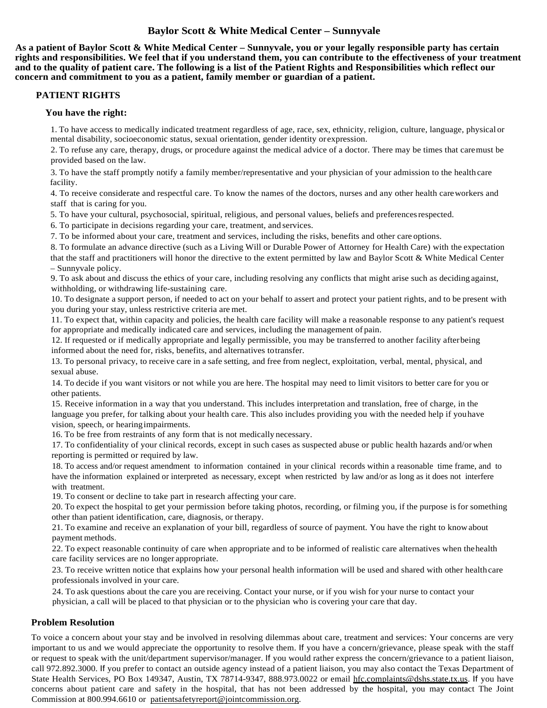# **Baylor Scott & White Medical Center – Sunnyvale**

**As a patient of Baylor Scott & White Medical Center – Sunnyvale, you or your legally responsible party has certain rights and responsibilities. We feel that if you understand them, you can contribute to the effectiveness of your treatment and to the quality of patient care. The following is a list of the Patient Rights and Responsibilities which reflect our concern and commitment to you as a patient, family member or guardian of a patient.**

## **PATIENT RIGHTS**

## **You have the right:**

1. To have access to medically indicated treatment regardless of age, race, sex, ethnicity, religion, culture, language, physical or mental disability, socioeconomic status, sexual orientation, gender identity or expression.

2. To refuse any care, therapy, drugs, or procedure against the medical advice of a doctor. There may be times that caremust be provided based on the law.

3. To have the staff promptly notify a family member/representative and your physician of your admission to the health care facility.

4. To receive considerate and respectful care. To know the names of the doctors, nurses and any other health careworkers and staff that is caring for you.

5. To have your cultural, psychosocial, spiritual, religious, and personal values, beliefs and preferencesrespected.

6. To participate in decisions regarding your care, treatment, and services.

7. To be informed about your care, treatment and services, including the risks, benefits and other care options.

8. To formulate an advance directive (such as a Living Will or Durable Power of Attorney for Health Care) with the expectation that the staff and practitioners will honor the directive to the extent permitted by law and Baylor Scott & White Medical Center – Sunnyvale policy.

9. To ask about and discuss the ethics of your care, including resolving any conflicts that might arise such as deciding against, withholding, or withdrawing life-sustaining care.

10. To designate a support person, if needed to act on your behalf to assert and protect your patient rights, and to be present with you during your stay, unless restrictive criteria are met.

11. To expect that, within capacity and policies, the health care facility will make a reasonable response to any patient's request for appropriate and medically indicated care and services, including the management of pain.

12. If requested or if medically appropriate and legally permissible, you may be transferred to another facility afterbeing informed about the need for, risks, benefits, and alternatives totransfer.

13. To personal privacy, to receive care in a safe setting, and free from neglect, exploitation, verbal, mental, physical, and sexual abuse.

14. To decide if you want visitors or not while you are here. The hospital may need to limit visitors to better care for you or other patients.

15. Receive information in a way that you understand. This includes interpretation and translation, free of charge, in the language you prefer, for talking about your health care. This also includes providing you with the needed help if youhave vision, speech, or hearingimpairments.

16. To be free from restraints of any form that is not medically necessary.

17. To confidentiality of your clinical records, except in such cases as suspected abuse or public health hazards and/or when reporting is permitted or required by law.

18. To access and/or request amendment to information contained in your clinical records within a reasonable time frame, and to have the information explained or interpreted as necessary, except when restricted by law and/or as long as it does not interfere with treatment.

19. To consent or decline to take part in research affecting your care.

20. To expect the hospital to get your permission before taking photos, recording, or filming you, if the purpose is for something other than patient identification, care, diagnosis, or therapy.

21. To examine and receive an explanation of your bill, regardless of source of payment. You have the right to knowabout payment methods.

22. To expect reasonable continuity of care when appropriate and to be informed of realistic care alternatives when thehealth care facility services are no longer appropriate.

23. To receive written notice that explains how your personal health information will be used and shared with other health care professionals involved in your care.

24. To ask questions about the care you are receiving. Contact your nurse, or if you wish for your nurse to contact your physician, a call will be placed to that physician or to the physician who is covering your care that day.

## **Problem Resolution**

To voice a concern about your stay and be involved in resolving dilemmas about care, treatment and services: Your concerns are very important to us and we would appreciate the opportunity to resolve them. If you have a concern/grievance, please speak with the staff or request to speak with the unit/department supervisor/manager. If you would rather express the concern/grievance to a patient liaison, call 972.892.3000. If you prefer to contact an outside agency instead of a patient liaison, you may also contact the Texas Department of State Health Services, PO Box 149347, Austin, TX 78714-9347, 888.973.0022 or email [hfc.complaints@dshs.state.tx.us.](mailto:hfc.complaints@dshs.state.tx.us) If you have concerns about patient care and safety in the hospital, that has not been addressed by the hospital, you may contact The Joint Commission at 800.994.6610 or [patientsafetyreport@jointcommission.org.](mailto:patientsafetyreport@jointcommission.org)